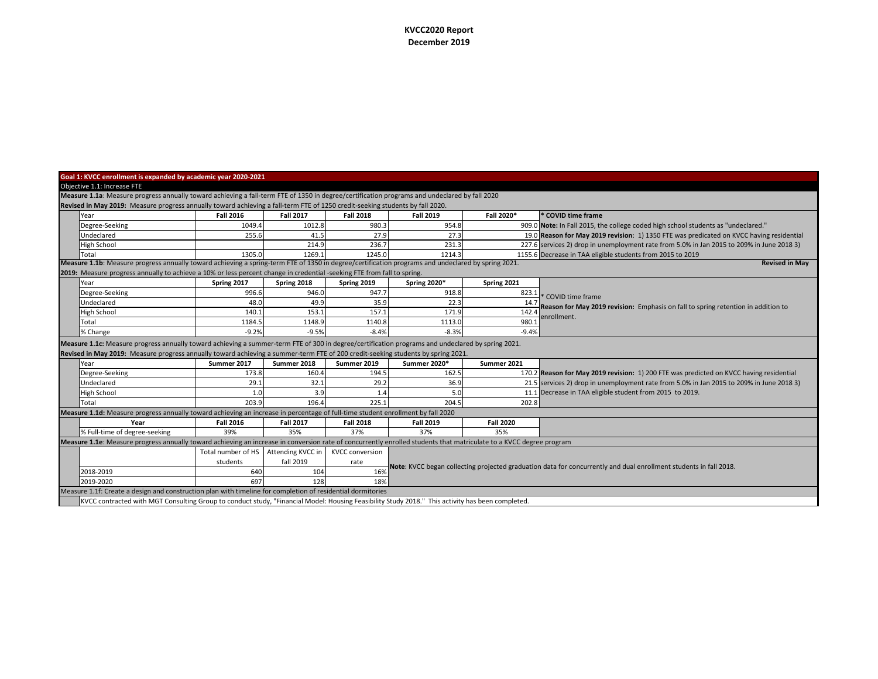## **KVCC2020 Report December 2019**

| Goal 1: KVCC enrollment is expanded by academic year 2020-2021                                                                                |                                                                                                                                                                             |                    |                   |                        |                                                                                                                   |                  |                                                                                           |  |  |  |  |  |
|-----------------------------------------------------------------------------------------------------------------------------------------------|-----------------------------------------------------------------------------------------------------------------------------------------------------------------------------|--------------------|-------------------|------------------------|-------------------------------------------------------------------------------------------------------------------|------------------|-------------------------------------------------------------------------------------------|--|--|--|--|--|
| Objective 1.1: Increase FTE                                                                                                                   |                                                                                                                                                                             |                    |                   |                        |                                                                                                                   |                  |                                                                                           |  |  |  |  |  |
| Measure 1.1a: Measure progress annually toward achieving a fall-term FTE of 1350 in degree/certification programs and undeclared by fall 2020 |                                                                                                                                                                             |                    |                   |                        |                                                                                                                   |                  |                                                                                           |  |  |  |  |  |
| Revised in May 2019: Measure progress annually toward achieving a fall-term FTE of 1250 credit-seeking students by fall 2020.                 |                                                                                                                                                                             |                    |                   |                        |                                                                                                                   |                  |                                                                                           |  |  |  |  |  |
|                                                                                                                                               | Year                                                                                                                                                                        | <b>Fall 2016</b>   | <b>Fall 2017</b>  | <b>Fall 2018</b>       | <b>Fall 2019</b>                                                                                                  | Fall 2020*       | * COVID time frame                                                                        |  |  |  |  |  |
|                                                                                                                                               | Degree-Seeking                                                                                                                                                              | 1049.4             | 1012.8            | 980.3                  | 954.8                                                                                                             |                  | 909.0 Note: In Fall 2015, the college coded high school students as "undeclared."         |  |  |  |  |  |
|                                                                                                                                               | Undeclared                                                                                                                                                                  | 255.6              | 41.5              | 27.9                   | 27.3                                                                                                              |                  | 19.0 Reason for May 2019 revision: 1) 1350 FTE was predicated on KVCC having residential  |  |  |  |  |  |
|                                                                                                                                               | High School                                                                                                                                                                 |                    | 214.9             | 236.7                  | 231.3                                                                                                             |                  | 227.6 services 2) drop in unemployment rate from 5.0% in Jan 2015 to 209% in June 2018 3) |  |  |  |  |  |
|                                                                                                                                               | Total                                                                                                                                                                       | 1305.0             | 1269.1            | 1245.0                 | 1214.3                                                                                                            |                  | 1155.6 Decrease in TAA eligible students from 2015 to 2019                                |  |  |  |  |  |
|                                                                                                                                               | Measure 1.1b: Measure progress annually toward achieving a spring-term FTE of 1350 in degree/certification programs and undeclared by spring 2021.<br><b>Revised in May</b> |                    |                   |                        |                                                                                                                   |                  |                                                                                           |  |  |  |  |  |
|                                                                                                                                               | 2019: Measure progress annually to achieve a 10% or less percent change in credential -seeking FTE from fall to spring.                                                     |                    |                   |                        |                                                                                                                   |                  |                                                                                           |  |  |  |  |  |
|                                                                                                                                               | Year                                                                                                                                                                        | Spring 2017        | Spring 2018       | Spring 2019            | Spring 2020*                                                                                                      | Spring 2021      |                                                                                           |  |  |  |  |  |
|                                                                                                                                               | Degree-Seeking                                                                                                                                                              | 996.6              | 946.0             | 947.7                  | 918.8                                                                                                             | 823.1            | * COVID time frame                                                                        |  |  |  |  |  |
|                                                                                                                                               | Undeclared                                                                                                                                                                  | 48.0               | 49.9              | 35.9                   | 22.3                                                                                                              | 14.7             | Reason for May 2019 revision: Emphasis on fall to spring retention in addition to         |  |  |  |  |  |
|                                                                                                                                               | High School                                                                                                                                                                 | 140.1              | 153.1             | 157.1                  | 171.9                                                                                                             | 142.4            | enrollment.                                                                               |  |  |  |  |  |
|                                                                                                                                               | Total                                                                                                                                                                       | 1184.              | 1148.9            | 1140.8                 | 1113.0                                                                                                            | 980.             |                                                                                           |  |  |  |  |  |
|                                                                                                                                               | % Change                                                                                                                                                                    | $-9.2%$            | $-9.5%$           | $-8.4%$                | $-8.3%$                                                                                                           | $-9.4%$          |                                                                                           |  |  |  |  |  |
|                                                                                                                                               | Measure 1.1c: Measure progress annually toward achieving a summer-term FTE of 300 in degree/certification programs and undeclared by spring 2021.                           |                    |                   |                        |                                                                                                                   |                  |                                                                                           |  |  |  |  |  |
|                                                                                                                                               | Revised in May 2019: Measure progress annually toward achieving a summer-term FTE of 200 credit-seeking students by spring 2021.                                            |                    |                   |                        |                                                                                                                   |                  |                                                                                           |  |  |  |  |  |
|                                                                                                                                               | Year                                                                                                                                                                        | Summer 2017        | Summer 2018       | Summer 2019            | <b>Summer 2020*</b>                                                                                               | Summer 2021      |                                                                                           |  |  |  |  |  |
|                                                                                                                                               | Degree-Seeking                                                                                                                                                              | 173.8              | 160.4             | 194.5                  | 162.5                                                                                                             |                  | 170.2 Reason for May 2019 revision: 1) 200 FTE was predicted on KVCC having residential   |  |  |  |  |  |
|                                                                                                                                               | Undeclared                                                                                                                                                                  | 29.1               | 32.1              | 29.2                   | 36.9                                                                                                              |                  | 21.5 services 2) drop in unemployment rate from 5.0% in Jan 2015 to 209% in June 2018 3)  |  |  |  |  |  |
|                                                                                                                                               | High School                                                                                                                                                                 | 1.0                | 3.9               | 1.4                    | 5.0                                                                                                               |                  | 11.1 Decrease in TAA eligible student from 2015 to 2019.                                  |  |  |  |  |  |
|                                                                                                                                               | Total                                                                                                                                                                       | 203.9              | 196.4             | 225.1                  | 204.5                                                                                                             | 202.8            |                                                                                           |  |  |  |  |  |
|                                                                                                                                               | Measure 1.1d: Measure progress annually toward achieving an increase in percentage of full-time student enrollment by fall 2020                                             |                    |                   |                        |                                                                                                                   |                  |                                                                                           |  |  |  |  |  |
|                                                                                                                                               | Year                                                                                                                                                                        | <b>Fall 2016</b>   | <b>Fall 2017</b>  | <b>Fall 2018</b>       | <b>Fall 2019</b>                                                                                                  | <b>Fall 2020</b> |                                                                                           |  |  |  |  |  |
|                                                                                                                                               | % Full-time of degree-seeking                                                                                                                                               | 39%                | 35%               | 37%                    | 37%                                                                                                               | 35%              |                                                                                           |  |  |  |  |  |
|                                                                                                                                               | Measure 1.1e: Measure progress annually toward achieving an increase in conversion rate of concurrently enrolled students that matriculate to a KVCC degree program         |                    |                   |                        |                                                                                                                   |                  |                                                                                           |  |  |  |  |  |
|                                                                                                                                               |                                                                                                                                                                             | Total number of HS | Attending KVCC in | <b>KVCC conversion</b> |                                                                                                                   |                  |                                                                                           |  |  |  |  |  |
|                                                                                                                                               |                                                                                                                                                                             | students           | fall 2019         | rate                   | Note: KVCC began collecting projected graduation data for concurrently and dual enrollment students in fall 2018. |                  |                                                                                           |  |  |  |  |  |
|                                                                                                                                               | 2018-2019                                                                                                                                                                   | 640                | 104               | 16%                    |                                                                                                                   |                  |                                                                                           |  |  |  |  |  |
|                                                                                                                                               | 2019-2020                                                                                                                                                                   | 697                | 128               | 18%                    |                                                                                                                   |                  |                                                                                           |  |  |  |  |  |
|                                                                                                                                               | Measure 1.1f: Create a design and construction plan with timeline for completion of residential dormitories                                                                 |                    |                   |                        |                                                                                                                   |                  |                                                                                           |  |  |  |  |  |
|                                                                                                                                               | KVCC contracted with MGT Consulting Group to conduct study, "Financial Model: Housing Feasibility Study 2018." This activity has been completed.                            |                    |                   |                        |                                                                                                                   |                  |                                                                                           |  |  |  |  |  |